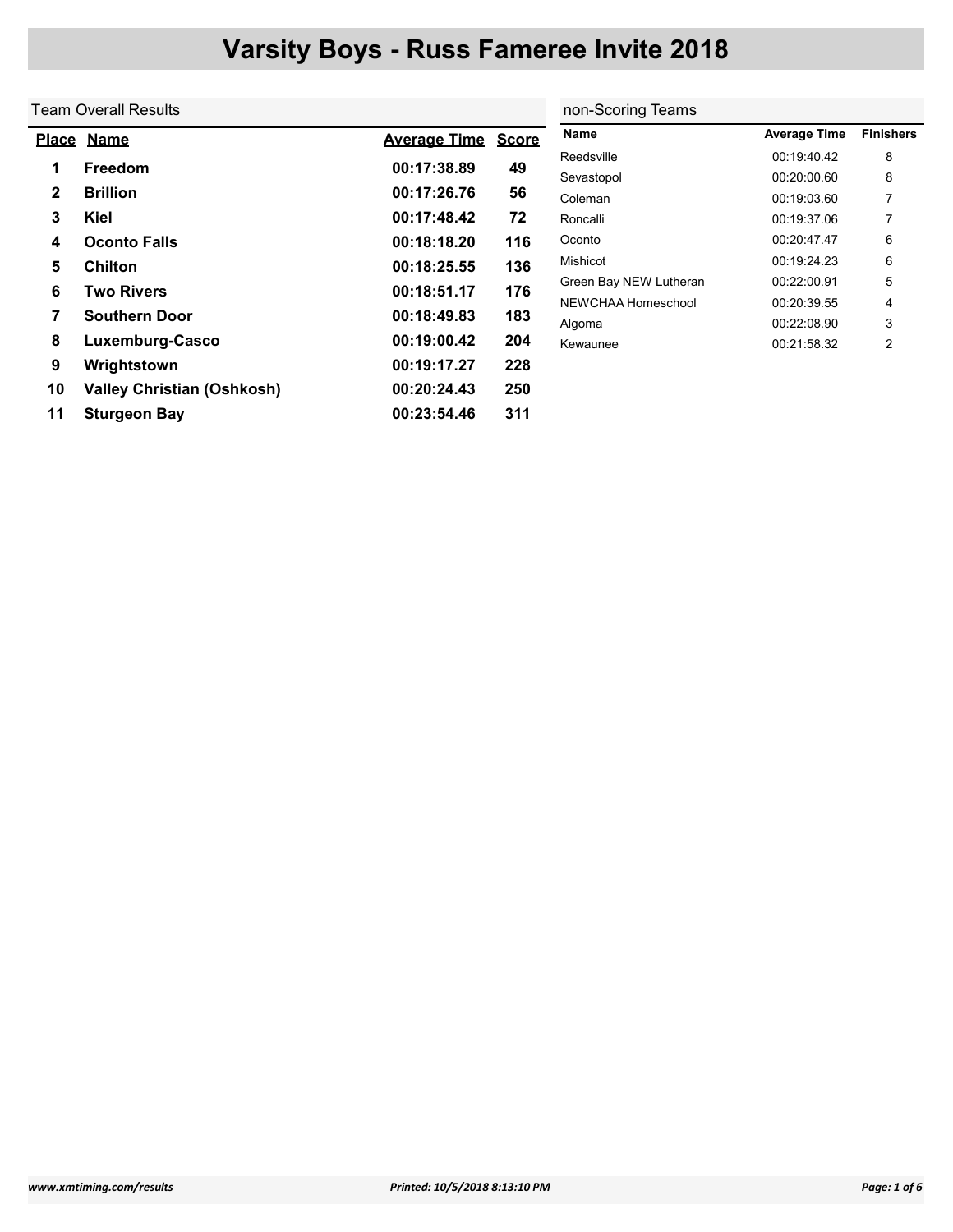|              | Team Overall Results              | non-Scoring Teams   |              |                        |                     |                  |
|--------------|-----------------------------------|---------------------|--------------|------------------------|---------------------|------------------|
| <u>Place</u> | <b>Name</b>                       | <b>Average Time</b> | <b>Score</b> | <b>Name</b>            | <b>Average Time</b> | <b>Finishers</b> |
|              | <b>Freedom</b>                    | 00:17:38.89         | 49           | Reedsville             | 00:19:40.42         | 8                |
|              |                                   |                     |              | Sevastopol             | 00:20:00.60         | 8                |
| $\mathbf{2}$ | <b>Brillion</b>                   | 00:17:26.76         | 56           | Coleman                | 00:19:03.60         | 7                |
| 3            | Kiel                              | 00:17:48.42         | 72           | Roncalli               | 00:19:37.06         |                  |
| 4            | <b>Oconto Falls</b>               | 00:18:18.20         | 116          | Oconto                 | 00:20:47.47         | 6                |
| 5            | <b>Chilton</b>                    | 00:18:25.55         | 136          | Mishicot               | 00:19:24.23         | 6                |
| 6            | <b>Two Rivers</b>                 | 00:18:51.17         | 176          | Green Bay NEW Lutheran | 00:22:00.91         | 5                |
|              |                                   |                     |              | NEWCHAA Homeschool     | 00:20:39.55         | 4                |
| 7            | <b>Southern Door</b>              | 00:18:49.83         | 183          | Algoma                 | 00:22:08.90         | 3                |
| 8            | Luxemburg-Casco                   | 00:19:00.42         | 204          | Kewaunee               | 00:21:58.32         | 2                |
| 9            | Wrightstown                       | 00:19:17.27         | 228          |                        |                     |                  |
| 10           | <b>Valley Christian (Oshkosh)</b> | 00:20:24.43         | 250          |                        |                     |                  |
| 11           | <b>Sturgeon Bay</b>               | 00:23:54.46         | 311          |                        |                     |                  |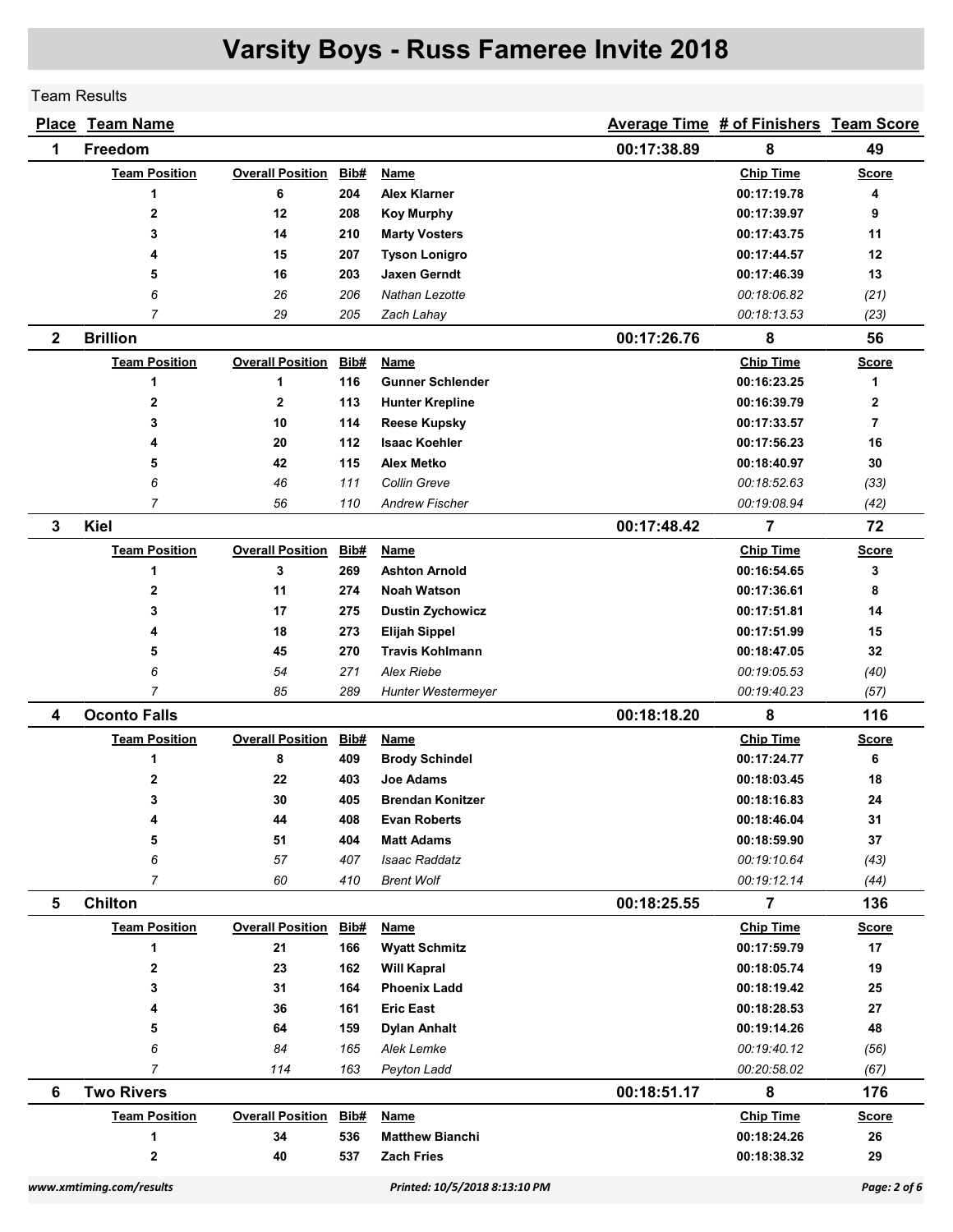Team Results

|                | <b>Place Team Name</b>   |                         |             |                               |             | Average Time # of Finishers Team Score |                |
|----------------|--------------------------|-------------------------|-------------|-------------------------------|-------------|----------------------------------------|----------------|
| 1              | <b>Freedom</b>           |                         |             |                               | 00:17:38.89 | 8                                      | 49             |
|                | <b>Team Position</b>     | <b>Overall Position</b> | Bib#        | <b>Name</b>                   |             | <b>Chip Time</b>                       | <b>Score</b>   |
|                | 1                        | 6                       | 204         | <b>Alex Klarner</b>           |             | 00:17:19.78                            | 4              |
|                | 2                        | 12                      | 208         | <b>Koy Murphy</b>             |             | 00:17:39.97                            | 9              |
|                | 3                        | 14                      | 210         | <b>Marty Vosters</b>          |             | 00:17:43.75                            | 11             |
|                | 4                        | 15                      | 207         | <b>Tyson Lonigro</b>          |             | 00:17:44.57                            | 12             |
|                | 5                        | 16                      | 203         | <b>Jaxen Gerndt</b>           |             | 00:17:46.39                            | 13             |
|                | 6                        | 26                      | 206         | Nathan Lezotte                |             | 00:18:06.82                            | (21)           |
|                | $\overline{7}$           | 29                      | 205         | Zach Lahay                    |             | 00:18:13.53                            | (23)           |
| $\mathbf 2$    | <b>Brillion</b>          |                         |             |                               | 00:17:26.76 | 8                                      | 56             |
|                | <b>Team Position</b>     | <b>Overall Position</b> | Bib#        | Name                          |             | <b>Chip Time</b>                       | <b>Score</b>   |
|                | 1                        | 1                       | 116         | <b>Gunner Schlender</b>       |             | 00:16:23.25                            | 1              |
|                | $\mathbf{2}$             | $\mathbf 2$             | 113         | <b>Hunter Krepline</b>        |             | 00:16:39.79                            | $\mathbf 2$    |
|                | 3                        | 10                      | 114         | <b>Reese Kupsky</b>           |             | 00:17:33.57                            | $\overline{7}$ |
|                | 4                        | 20                      | 112         | <b>Isaac Koehler</b>          |             | 00:17:56.23                            | 16             |
|                | 5                        | 42                      | 115         | <b>Alex Metko</b>             |             | 00:18:40.97                            | 30             |
|                | 6                        | 46                      | 111         | Collin Greve                  |             | 00:18:52.63                            | (33)           |
|                | $\overline{7}$           | 56                      | 110         | <b>Andrew Fischer</b>         |             | 00:19:08.94                            | (42)           |
| 3              | Kiel                     |                         |             |                               | 00:17:48.42 | $\overline{7}$                         | 72             |
|                | <b>Team Position</b>     | <b>Overall Position</b> | Bib#        | <b>Name</b>                   |             | <b>Chip Time</b>                       | <u>Score</u>   |
|                | 1                        | 3                       | 269         | <b>Ashton Arnold</b>          |             | 00:16:54.65                            | 3              |
|                | $\mathbf{2}$             | 11                      | 274         | <b>Noah Watson</b>            |             | 00:17:36.61                            | 8              |
|                | 3                        | 17                      | 275         | <b>Dustin Zychowicz</b>       |             | 00:17:51.81                            | 14             |
|                | 4                        | 18                      | 273         | <b>Elijah Sippel</b>          |             | 00:17:51.99                            | 15             |
|                | 5                        | 45                      | 270         | <b>Travis Kohlmann</b>        |             | 00:18:47.05                            | 32             |
|                | 6                        | 54                      | 271         | <b>Alex Riebe</b>             |             | 00:19:05.53                            | (40)           |
|                | $\overline{7}$           | 85                      | 289         | Hunter Westermeyer            |             | 00:19:40.23                            | (57)           |
| 4              | <b>Oconto Falls</b>      |                         |             |                               | 00:18:18.20 | 8                                      | 116            |
|                | <b>Team Position</b>     | <b>Overall Position</b> | <u>Bib#</u> | <b>Name</b>                   |             | <b>Chip Time</b>                       | <u>Score</u>   |
|                | 1                        | 8                       | 409         | <b>Brody Schindel</b>         |             | 00:17:24.77                            | 6              |
|                | 2                        | 22                      | 403         | <b>Joe Adams</b>              |             | 00:18:03.45                            | 18             |
|                | 3                        | 30                      | 405         | <b>Brendan Konitzer</b>       |             | 00:18:16.83                            | 24             |
|                | 4                        | 44                      | 408         | <b>Evan Roberts</b>           |             | 00:18:46.04                            | 31             |
|                | 5                        | 51                      | 404         | <b>Matt Adams</b>             |             | 00:18:59.90                            | 37             |
|                | 6                        | 57                      | 407         | <b>Isaac Raddatz</b>          |             | 00:19:10.64                            | (43)           |
|                | $\overline{7}$           | 60                      | 410         | <b>Brent Wolf</b>             |             | 00:19:12.14                            | (44)           |
| $5\phantom{1}$ | <b>Chilton</b>           |                         |             |                               | 00:18:25.55 | $\overline{7}$                         | 136            |
|                | <b>Team Position</b>     | <b>Overall Position</b> | Bib#        | <b>Name</b>                   |             | <b>Chip Time</b>                       | <b>Score</b>   |
|                | 1                        | 21                      | 166         | <b>Wyatt Schmitz</b>          |             | 00:17:59.79                            | 17             |
|                | $\mathbf 2$              | 23                      | 162         | <b>Will Kapral</b>            |             | 00:18:05.74                            | 19             |
|                | 3                        | 31                      | 164         | <b>Phoenix Ladd</b>           |             | 00:18:19.42                            | 25             |
|                | 4                        | 36                      | 161         | <b>Eric East</b>              |             | 00:18:28.53                            | 27             |
|                | 5                        | 64                      | 159         | <b>Dylan Anhalt</b>           |             | 00:19:14.26                            | 48             |
|                | 6                        | 84                      | 165         | Alek Lemke                    |             | 00:19:40.12                            | (56)           |
|                | $\overline{7}$           | 114                     | 163         | Peyton Ladd                   |             | 00:20:58.02                            | (67)           |
| 6              | <b>Two Rivers</b>        |                         |             |                               | 00:18:51.17 | 8                                      | 176            |
|                | <b>Team Position</b>     | <b>Overall Position</b> | Bib#        | Name                          |             | <b>Chip Time</b>                       | <b>Score</b>   |
|                | 1                        | 34                      | 536         | <b>Matthew Bianchi</b>        |             | 00:18:24.26                            | 26             |
|                | $\bf{2}$                 | 40                      | 537         | <b>Zach Fries</b>             |             | 00:18:38.32                            | 29             |
|                | www.xmtiming.com/results |                         |             | Printed: 10/5/2018 8:13:10 PM |             |                                        | Page: 2 of 6   |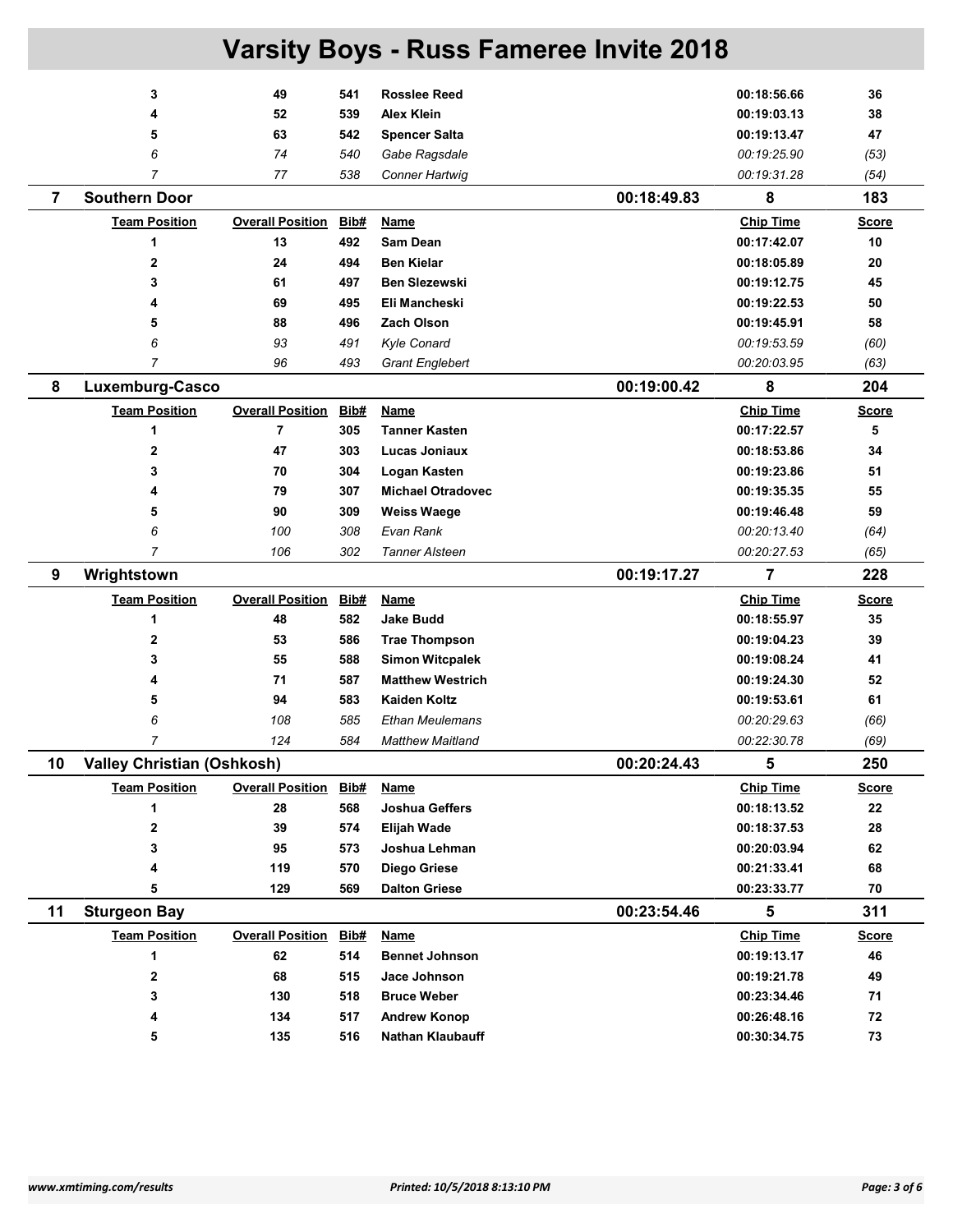|                | 3                                 | 49                      | 541  | <b>Rosslee Reed</b>      | 00:18:56.66      | 36           |
|----------------|-----------------------------------|-------------------------|------|--------------------------|------------------|--------------|
|                | 4                                 | 52                      | 539  | <b>Alex Klein</b>        | 00:19:03.13      | 38           |
|                | 5                                 | 63                      | 542  | <b>Spencer Salta</b>     | 00:19:13.47      | 47           |
|                | 6                                 | 74                      | 540  | Gabe Ragsdale            | 00:19:25.90      | (53)         |
|                | $\overline{7}$                    | 77                      | 538  | <b>Conner Hartwig</b>    | 00:19:31.28      | (54)         |
| $\overline{7}$ | <b>Southern Door</b>              |                         |      | 00:18:49.83              | 8                | 183          |
|                | <b>Team Position</b>              | <b>Overall Position</b> | Bib# | Name                     | <b>Chip Time</b> | <b>Score</b> |
|                | 1                                 | 13                      | 492  | Sam Dean                 | 00:17:42.07      | 10           |
|                | $\mathbf{2}$                      | 24                      | 494  | <b>Ben Kielar</b>        | 00:18:05.89      | 20           |
|                | 3                                 | 61                      | 497  | <b>Ben Slezewski</b>     | 00:19:12.75      | 45           |
|                | 4                                 | 69                      | 495  | Eli Mancheski            | 00:19:22.53      | 50           |
|                | 5                                 | 88                      | 496  | <b>Zach Olson</b>        | 00:19:45.91      | 58           |
|                | 6                                 | 93                      | 491  | Kyle Conard              | 00:19:53.59      | (60)         |
|                | $\overline{7}$                    | 96                      | 493  | <b>Grant Englebert</b>   | 00:20:03.95      | (63)         |
| 8              | Luxemburg-Casco                   |                         |      | 00:19:00.42              | 8                | 204          |
|                | <b>Team Position</b>              | <b>Overall Position</b> | Bib# | Name                     | <b>Chip Time</b> | <b>Score</b> |
|                | 1                                 | $\overline{\mathbf{r}}$ | 305  | <b>Tanner Kasten</b>     | 00:17:22.57      | 5            |
|                | $\mathbf{2}$                      | 47                      | 303  | Lucas Joniaux            | 00:18:53.86      | 34           |
|                | 3                                 | 70                      | 304  | Logan Kasten             | 00:19:23.86      | 51           |
|                | 4                                 | 79                      | 307  | <b>Michael Otradovec</b> | 00:19:35.35      | 55           |
|                | 5                                 | 90                      | 309  | <b>Weiss Waege</b>       | 00:19:46.48      | 59           |
|                | 6                                 | 100                     | 308  | Evan Rank                | 00:20:13.40      | (64)         |
|                | $\overline{7}$                    | 106                     | 302  | <b>Tanner Alsteen</b>    | 00:20:27.53      | (65)         |
|                |                                   |                         |      |                          |                  |              |
| 9              | Wrightstown                       |                         |      | 00:19:17.27              | $\overline{7}$   | 228          |
|                | <b>Team Position</b>              | <b>Overall Position</b> | Bib# | Name                     | <b>Chip Time</b> | <b>Score</b> |
|                | 1                                 | 48                      | 582  | <b>Jake Budd</b>         | 00:18:55.97      | 35           |
|                | $\mathbf{2}$                      | 53                      | 586  | <b>Trae Thompson</b>     | 00:19:04.23      | 39           |
|                | 3                                 | 55                      | 588  | <b>Simon Witcpalek</b>   | 00:19:08.24      | 41           |
|                | 4                                 | 71                      | 587  | <b>Matthew Westrich</b>  | 00:19:24.30      | 52           |
|                | 5                                 | 94                      | 583  | <b>Kaiden Koltz</b>      | 00:19:53.61      | 61           |
|                | 6                                 | 108                     | 585  | <b>Ethan Meulemans</b>   | 00:20:29.63      | (66)         |
|                | 7                                 | 124                     | 584  | <b>Matthew Maitland</b>  | 00:22:30.78      | (69)         |
| 10             | <b>Valley Christian (Oshkosh)</b> |                         |      | 00:20:24.43              | 5                | 250          |
|                | <b>Team Position</b>              | <b>Overall Position</b> | Bib# | <b>Name</b>              | <b>Chip Time</b> | <b>Score</b> |
|                | 1                                 | 28                      | 568  | Joshua Geffers           | 00:18:13.52      | 22           |
|                | $\boldsymbol{2}$                  | 39                      | 574  | Elijah Wade              | 00:18:37.53      | 28           |
|                | 3                                 | 95                      | 573  | Joshua Lehman            | 00:20:03.94      | 62           |
|                | 4                                 | 119                     | 570  | <b>Diego Griese</b>      | 00:21:33.41      | 68           |
|                | 5                                 | 129                     | 569  | <b>Dalton Griese</b>     | 00:23:33.77      | 70           |
| 11             | <b>Sturgeon Bay</b>               |                         |      | 00:23:54.46              | 5                | 311          |
|                | <b>Team Position</b>              | <b>Overall Position</b> | Bib# | <b>Name</b>              | <b>Chip Time</b> | <b>Score</b> |
|                | 1                                 | 62                      | 514  | <b>Bennet Johnson</b>    | 00:19:13.17      | 46           |
|                | $\mathbf 2$                       | 68                      | 515  | Jace Johnson             | 00:19:21.78      | 49           |
|                | 3                                 | 130                     | 518  | <b>Bruce Weber</b>       | 00:23:34.46      | 71           |
|                | 4                                 | 134                     | 517  | <b>Andrew Konop</b>      | 00:26:48.16      | 72           |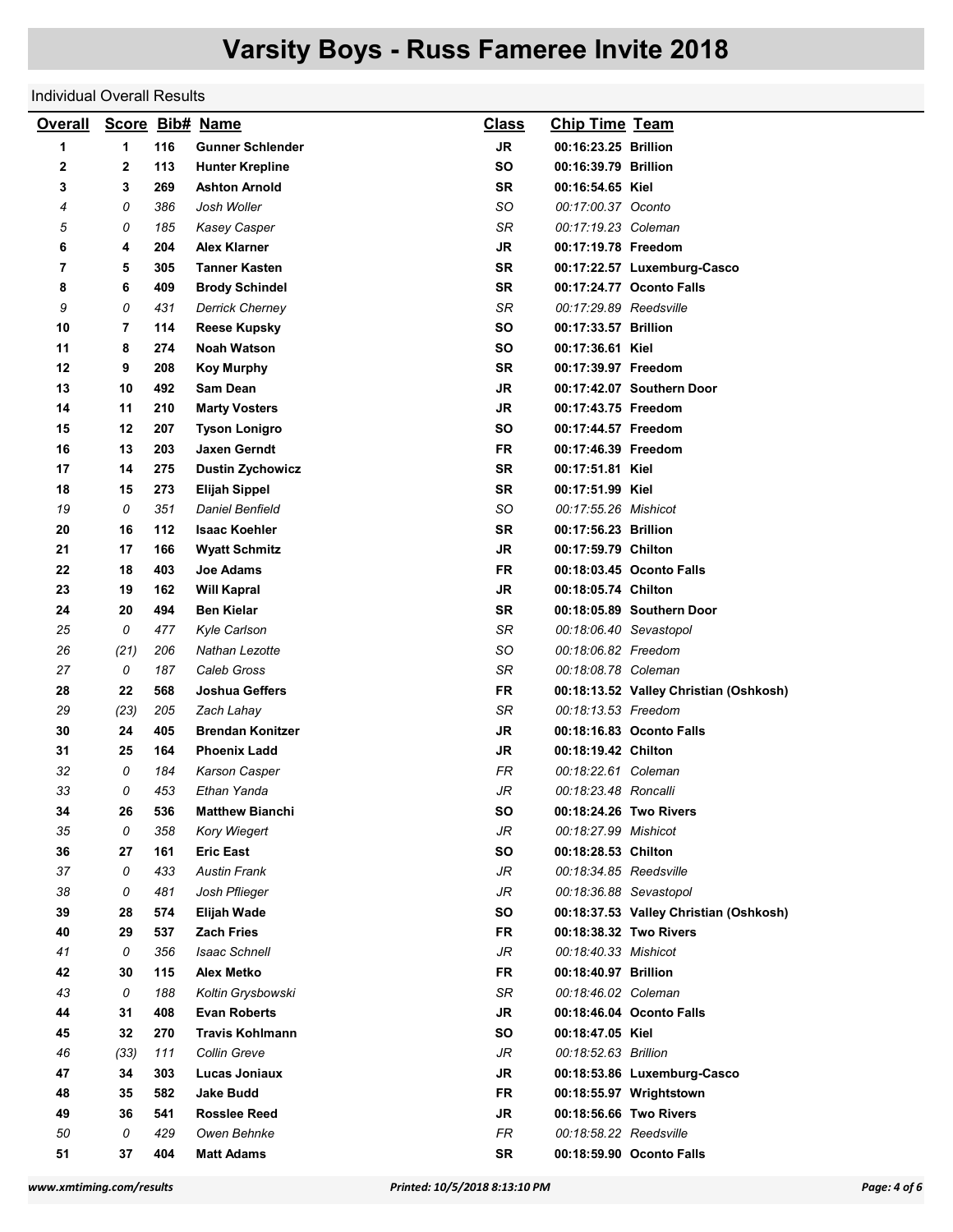## Individual Overall Results

| <b>Overall</b> |      |     | Score Bib# Name         | <b>Class</b> | <b>Chip Time Team</b>  |                                        |
|----------------|------|-----|-------------------------|--------------|------------------------|----------------------------------------|
| 1              | 1    | 116 | <b>Gunner Schlender</b> | <b>JR</b>    | 00:16:23.25 Brillion   |                                        |
| 2              | 2    | 113 | <b>Hunter Krepline</b>  | SO           | 00:16:39.79 Brillion   |                                        |
| 3              | 3    | 269 | <b>Ashton Arnold</b>    | <b>SR</b>    | 00:16:54.65 Kiel       |                                        |
| 4              | 0    | 386 | Josh Woller             | SO           | 00:17:00.37 Oconto     |                                        |
| 5              | 0    | 185 | Kasey Casper            | SR           | 00:17:19.23 Coleman    |                                        |
| 6              | 4    | 204 | Alex Klarner            | <b>JR</b>    | 00:17:19.78 Freedom    |                                        |
| 7              | 5    | 305 | <b>Tanner Kasten</b>    | SR           |                        | 00:17:22.57 Luxemburg-Casco            |
| 8              | 6    | 409 | <b>Brody Schindel</b>   | SR           |                        | 00:17:24.77 Oconto Falls               |
| 9              | 0    | 431 | <b>Derrick Cherney</b>  | SR           | 00:17:29.89 Reedsville |                                        |
| 10             | 7    | 114 | <b>Reese Kupsky</b>     | SΟ           | 00:17:33.57 Brillion   |                                        |
| 11             | 8    | 274 | <b>Noah Watson</b>      | SO           | 00:17:36.61 Kiel       |                                        |
| 12             | 9    | 208 | <b>Koy Murphy</b>       | SR           | 00:17:39.97 Freedom    |                                        |
| 13             | 10   | 492 | Sam Dean                | JR           |                        | 00:17:42.07 Southern Door              |
| 14             | 11   | 210 | <b>Marty Vosters</b>    | JR           | 00:17:43.75 Freedom    |                                        |
| 15             | 12   | 207 | Tyson Lonigro           | SO           | 00:17:44.57 Freedom    |                                        |
| 16             | 13   | 203 | Jaxen Gerndt            | FR           | 00:17:46.39 Freedom    |                                        |
| 17             | 14   | 275 | <b>Dustin Zychowicz</b> | <b>SR</b>    | 00:17:51.81 Kiel       |                                        |
| 18             | 15   | 273 | <b>Elijah Sippel</b>    | SR           | 00:17:51.99 Kiel       |                                        |
| 19             | 0    | 351 | <b>Daniel Benfield</b>  | SO           | 00:17:55.26 Mishicot   |                                        |
| 20             | 16   | 112 | <b>Isaac Koehler</b>    | SR           | 00:17:56.23 Brillion   |                                        |
| 21             | 17   | 166 | <b>Wyatt Schmitz</b>    | JR           | 00:17:59.79 Chilton    |                                        |
| 22             | 18   | 403 | Joe Adams               | FR           |                        | 00:18:03.45 Oconto Falls               |
| 23             | 19   | 162 | <b>Will Kapral</b>      | JR           | 00:18:05.74 Chilton    |                                        |
| 24             | 20   | 494 | <b>Ben Kielar</b>       | SR           |                        | 00:18:05.89 Southern Door              |
| 25             | 0    | 477 | Kyle Carlson            | SR           | 00:18:06.40 Sevastopol |                                        |
| 26             | (21) | 206 | Nathan Lezotte          | SO           | 00:18:06.82 Freedom    |                                        |
| 27             | 0    | 187 | Caleb Gross             | SR           | 00:18:08.78 Coleman    |                                        |
| 28             | 22   | 568 | Joshua Geffers          | FR           |                        | 00:18:13.52 Valley Christian (Oshkosh) |
| 29             | (23) | 205 | Zach Lahay              | SR           | 00:18:13.53 Freedom    |                                        |
| 30             | 24   | 405 | <b>Brendan Konitzer</b> | JR           |                        | 00:18:16.83 Oconto Falls               |
| 31             | 25   | 164 | <b>Phoenix Ladd</b>     | JR           | 00:18:19.42 Chilton    |                                        |
| 32             | 0    | 184 | Karson Casper           | FR           | 00:18:22.61 Coleman    |                                        |
| 33             | 0    | 453 | Ethan Yanda             | JR           | 00:18:23.48 Roncalli   |                                        |
| 34             | 26   | 536 | <b>Matthew Bianchi</b>  | SO           | 00:18:24.26 Two Rivers |                                        |
| 35             | 0    | 358 | Kory Wiegert            | JR           | 00:18:27.99 Mishicot   |                                        |
| 36             | 27   | 161 | <b>Eric East</b>        | SΟ           | 00:18:28.53 Chilton    |                                        |
| 37             | 0    | 433 | <b>Austin Frank</b>     | JR           | 00:18:34.85 Reedsville |                                        |
| 38             | 0    | 481 | Josh Pflieger           | JR           | 00:18:36.88 Sevastopol |                                        |
| 39             | 28   | 574 | <b>Elijah Wade</b>      | SΟ           |                        | 00:18:37.53 Valley Christian (Oshkosh) |
| 40             | 29   | 537 | <b>Zach Fries</b>       | FR           |                        | 00:18:38.32 Two Rivers                 |
| 41             | 0    | 356 | <b>Isaac Schnell</b>    | JR           | 00:18:40.33 Mishicot   |                                        |
| 42             | 30   | 115 | <b>Alex Metko</b>       | FR           | 00:18:40.97 Brillion   |                                        |
| 43             | 0    | 188 | Koltin Grysbowski       | SR           | 00:18:46.02 Coleman    |                                        |
| 44             | 31   | 408 | <b>Evan Roberts</b>     | <b>JR</b>    |                        | 00:18:46.04 Oconto Falls               |
| 45             | 32   | 270 | <b>Travis Kohlmann</b>  | <b>SO</b>    | 00:18:47.05 Kiel       |                                        |
| 46             | (33) | 111 | Collin Greve            | JR           | 00:18:52.63 Brillion   |                                        |
| 47             | 34   | 303 | Lucas Joniaux           | JR           |                        | 00:18:53.86 Luxemburg-Casco            |
| 48             | 35   | 582 | <b>Jake Budd</b>        | FR           |                        | 00:18:55.97 Wrightstown                |
| 49             | 36   | 541 | <b>Rosslee Reed</b>     | JR           |                        | 00:18:56.66 Two Rivers                 |
| 50             | 0    | 429 | Owen Behnke             | FR           | 00:18:58.22 Reedsville |                                        |
| 51             | 37   | 404 | <b>Matt Adams</b>       | SR           |                        | 00:18:59.90 Oconto Falls               |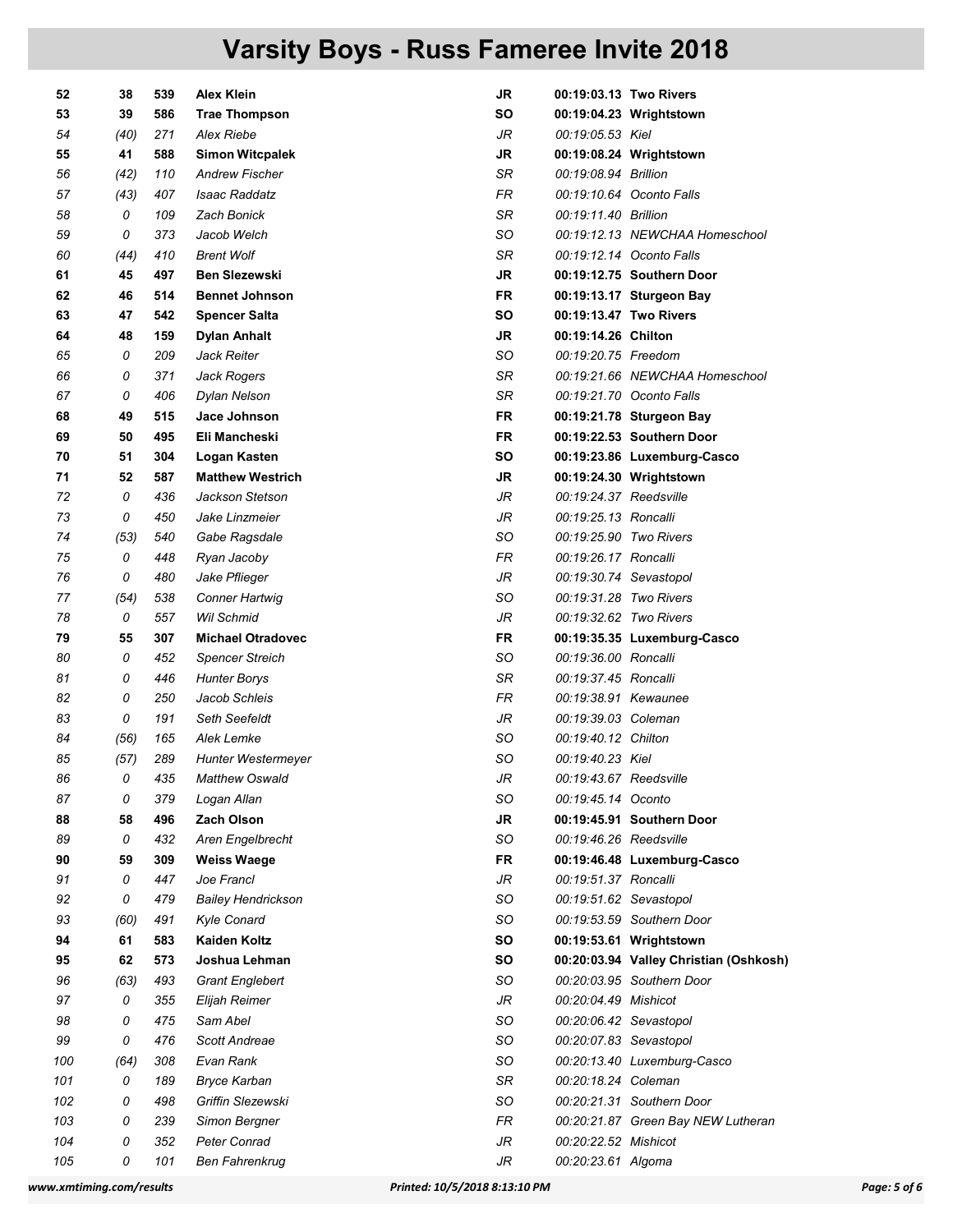| 52  | 38   | 539 | <b>Alex Klein</b>         | JR        |                        | 00:19:03.13 Two Rivers                 |
|-----|------|-----|---------------------------|-----------|------------------------|----------------------------------------|
| 53  | 39   | 586 | <b>Trae Thompson</b>      | SΟ        |                        | 00:19:04.23 Wrightstown                |
| 54  | (40) | 271 | <b>Alex Riebe</b>         | JR        | 00:19:05.53 Kiel       |                                        |
| 55  | 41   | 588 | <b>Simon Witcpalek</b>    | JR        |                        | 00:19:08.24 Wrightstown                |
| 56  | (42) | 110 | <b>Andrew Fischer</b>     | SR        | 00:19:08.94 Brillion   |                                        |
| 57  | (43) | 407 | Isaac Raddatz             | <b>FR</b> |                        | 00:19:10.64 Oconto Falls               |
| 58  | 0    | 109 | <b>Zach Bonick</b>        | SR        | 00:19:11.40 Brillion   |                                        |
| 59  | 0    | 373 | Jacob Welch               | SO        |                        | 00:19:12.13 NEWCHAA Homeschool         |
| 60  | (44) | 410 | <b>Brent Wolf</b>         | SR        |                        | 00:19:12.14 Oconto Falls               |
| 61  | 45   | 497 | <b>Ben Slezewski</b>      | JR        |                        | 00:19:12.75 Southern Door              |
| 62  | 46   | 514 | <b>Bennet Johnson</b>     | FR        |                        | 00:19:13.17 Sturgeon Bay               |
| 63  | 47   | 542 | <b>Spencer Salta</b>      | SΟ        |                        | 00:19:13.47 Two Rivers                 |
| 64  | 48   | 159 | Dylan Anhalt              | <b>JR</b> | 00:19:14.26 Chilton    |                                        |
| 65  | 0    | 209 | Jack Reiter               | SO        | 00:19:20.75 Freedom    |                                        |
| 66  | 0    | 371 | Jack Rogers               | SR        |                        | 00:19:21.66 NEWCHAA Homeschool         |
| 67  | 0    | 406 | Dylan Nelson              | SR        |                        | 00:19:21.70 Oconto Falls               |
| 68  | 49   | 515 | Jace Johnson              | FR        |                        | 00:19:21.78 Sturgeon Bay               |
| 69  | 50   | 495 | Eli Mancheski             | <b>FR</b> |                        | 00:19:22.53 Southern Door              |
| 70  | 51   | 304 | Logan Kasten              | SO        |                        | 00:19:23.86 Luxemburg-Casco            |
| 71  | 52   | 587 | <b>Matthew Westrich</b>   | JR        |                        | 00:19:24.30 Wrightstown                |
| 72  | 0    | 436 | Jackson Stetson           | JR        | 00:19:24.37 Reedsville |                                        |
| 73  | 0    | 450 | Jake Linzmeier            | JR        | 00:19:25.13 Roncalli   |                                        |
| 74  | (53) | 540 | Gabe Ragsdale             | SO        | 00:19:25.90 Two Rivers |                                        |
| 75  | 0    | 448 | Ryan Jacoby               | FR        | 00:19:26.17 Roncalli   |                                        |
| 76  | 0    | 480 | Jake Pflieger             | JR        | 00:19:30.74 Sevastopol |                                        |
| 77  | (54) | 538 | <b>Conner Hartwig</b>     | SO        | 00:19:31.28 Two Rivers |                                        |
| 78  | 0    | 557 | <b>Wil Schmid</b>         | JR        | 00:19:32.62 Two Rivers |                                        |
| 79  | 55   | 307 | <b>Michael Otradovec</b>  | FR        |                        | 00:19:35.35 Luxemburg-Casco            |
| 80  | 0    | 452 | <b>Spencer Streich</b>    | SO        | 00:19:36.00 Roncalli   |                                        |
| 81  | 0    | 446 | <b>Hunter Borys</b>       | SR        | 00:19:37.45 Roncalli   |                                        |
| 82  | 0    | 250 | Jacob Schleis             | FR        | 00:19:38.91 Kewaunee   |                                        |
| 83  | 0    | 191 | Seth Seefeldt             | JR        | 00:19:39.03 Coleman    |                                        |
| 84  | (56) | 165 | Alek Lemke                | SO        | 00:19:40.12 Chilton    |                                        |
| 85  | (57) | 289 | Hunter Westermeyer        | SO        | 00:19:40.23 Kiel       |                                        |
| 86  | 0    | 435 | <b>Matthew Oswald</b>     | JR        | 00:19:43.67 Reedsville |                                        |
| 87  | 0    | 379 | Logan Allan               | SO        | 00:19:45.14 Oconto     |                                        |
| 88  | 58   | 496 | <b>Zach Olson</b>         | <b>JR</b> |                        | 00:19:45.91 Southern Door              |
| 89  | 0    | 432 | Aren Engelbrecht          | SO        | 00:19:46.26 Reedsville |                                        |
| 90  | 59   | 309 | <b>Weiss Waege</b>        | <b>FR</b> |                        | 00:19:46.48 Luxemburg-Casco            |
| 91  | 0    | 447 | Joe Francl                | JR        | 00:19:51.37 Roncalli   |                                        |
| 92  | 0    | 479 | <b>Bailey Hendrickson</b> | SO        | 00:19:51.62 Sevastopol |                                        |
| 93  | (60) | 491 | Kyle Conard               | SO        |                        | 00:19:53.59 Southern Door              |
| 94  | 61   | 583 | <b>Kaiden Koltz</b>       | SΟ        |                        | 00:19:53.61 Wrightstown                |
| 95  | 62   | 573 | Joshua Lehman             | SO        |                        | 00:20:03.94 Valley Christian (Oshkosh) |
| 96  | (63) | 493 | <b>Grant Englebert</b>    | SO        |                        | 00:20:03.95 Southern Door              |
| 97  | 0    | 355 | Elijah Reimer             | JR        | 00:20:04.49 Mishicot   |                                        |
| 98  | 0    | 475 | Sam Abel                  | SO        | 00:20:06.42 Sevastopol |                                        |
| 99  | 0    | 476 | Scott Andreae             | SO        | 00:20:07.83 Sevastopol |                                        |
| 100 | (64) | 308 | Evan Rank                 | SO        |                        | 00:20:13.40 Luxemburg-Casco            |
| 101 | 0    | 189 | <b>Bryce Karban</b>       | SR        | 00:20:18.24 Coleman    |                                        |
| 102 | 0    | 498 | Griffin Slezewski         | SO        |                        | 00:20:21.31 Southern Door              |
| 103 | 0    | 239 | Simon Bergner             | FR        |                        | 00:20:21.87 Green Bay NEW Lutheran     |
| 104 | 0    | 352 | <b>Peter Conrad</b>       | JR        | 00:20:22.52 Mishicot   |                                        |
| 105 | 0    | 101 | <b>Ben Fahrenkrug</b>     | JR        | 00:20:23.61 Algoma     |                                        |